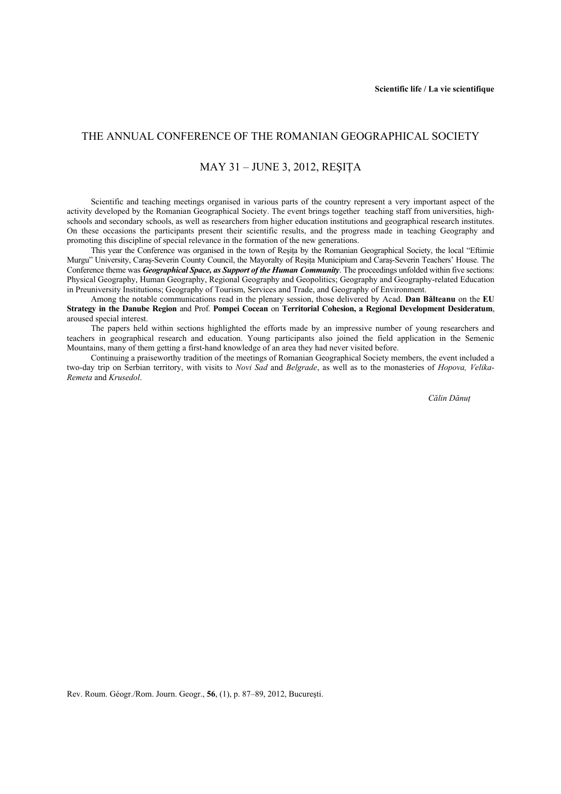## THE ANNUAL CONFERENCE OF THE ROMANIAN GEOGRAPHICAL SOCIETY

### MAY 31 – JUNE 3, 2012, REŞIŢA

Scientific and teaching meetings organised in various parts of the country represent a very important aspect of the activity developed by the Romanian Geographical Society. The event brings together teaching staff from universities, highschools and secondary schools, as well as researchers from higher education institutions and geographical research institutes. On these occasions the participants present their scientific results, and the progress made in teaching Geography and promoting this discipline of special relevance in the formation of the new generations.

This year the Conference was organised in the town of Resita by the Romanian Geographical Society, the local "Eftimie Murgu" University, Caraş-Severin County Council, the Mayoralty of Reşiţa Municipium and Caraş-Severin Teachers' House. The Conference theme was *Geographical Space, as Support of the Human Community*. The proceedings unfolded within five sections: Physical Geography, Human Geography, Regional Geography and Geopolitics; Geography and Geography-related Education in Preuniversity Institutions; Geography of Tourism, Services and Trade, and Geography of Environment.

Among the notable communications read in the plenary session, those delivered by Acad. **Dan Bălteanu** on the **EU Strategy in the Danube Region** and Prof. **Pompei Cocean** on **Territorial Cohesion, a Regional Development Desideratum**, aroused special interest.

The papers held within sections highlighted the efforts made by an impressive number of young researchers and teachers in geographical research and education. Young participants also joined the field application in the Semenic Mountains, many of them getting a first-hand knowledge of an area they had never visited before.

Continuing a praiseworthy tradition of the meetings of Romanian Geographical Society members, the event included a two-day trip on Serbian territory, with visits to *Novi Sad* and *Belgrade*, as well as to the monasteries of *Hopova, Velika-Remeta* and *Krusedol*.

*Călin Dănuţ* 

Rev. Roum. Géogr./Rom. Journ. Geogr., **56**, (1), p. 87–89, 2012, Bucureşti.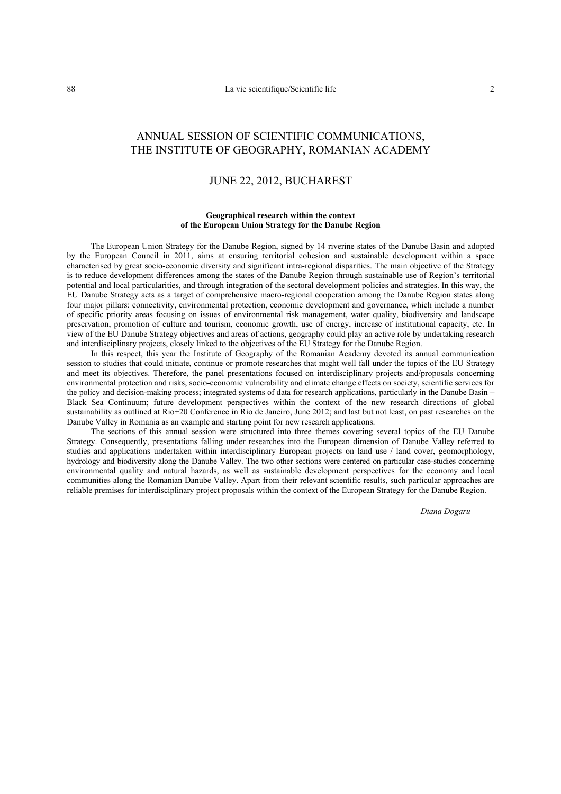# ANNUAL SESSION OF SCIENTIFIC COMMUNICATIONS, THE INSTITUTE OF GEOGRAPHY, ROMANIAN ACADEMY

### JUNE 22, 2012, BUCHAREST

#### **Geographical research within the context of the European Union Strategy for the Danube Region**

The European Union Strategy for the Danube Region, signed by 14 riverine states of the Danube Basin and adopted by the European Council in 2011, aims at ensuring territorial cohesion and sustainable development within a space characterised by great socio-economic diversity and significant intra-regional disparities. The main objective of the Strategy is to reduce development differences among the states of the Danube Region through sustainable use of Region's territorial potential and local particularities, and through integration of the sectoral development policies and strategies. In this way, the EU Danube Strategy acts as a target of comprehensive macro-regional cooperation among the Danube Region states along four major pillars: connectivity, environmental protection, economic development and governance, which include a number of specific priority areas focusing on issues of environmental risk management, water quality, biodiversity and landscape preservation, promotion of culture and tourism, economic growth, use of energy, increase of institutional capacity, etc. In view of the EU Danube Strategy objectives and areas of actions, geography could play an active role by undertaking research and interdisciplinary projects, closely linked to the objectives of the EU Strategy for the Danube Region.

In this respect, this year the Institute of Geography of the Romanian Academy devoted its annual communication session to studies that could initiate, continue or promote researches that might well fall under the topics of the EU Strategy and meet its objectives. Therefore, the panel presentations focused on interdisciplinary projects and/proposals concerning environmental protection and risks, socio-economic vulnerability and climate change effects on society, scientific services for the policy and decision-making process; integrated systems of data for research applications, particularly in the Danube Basin – Black Sea Continuum; future development perspectives within the context of the new research directions of global sustainability as outlined at Rio+20 Conference in Rio de Janeiro, June 2012; and last but not least, on past researches on the Danube Valley in Romania as an example and starting point for new research applications.

The sections of this annual session were structured into three themes covering several topics of the EU Danube Strategy. Consequently, presentations falling under researches into the European dimension of Danube Valley referred to studies and applications undertaken within interdisciplinary European projects on land use / land cover, geomorphology, hydrology and biodiversity along the Danube Valley. The two other sections were centered on particular case-studies concerning environmental quality and natural hazards, as well as sustainable development perspectives for the economy and local communities along the Romanian Danube Valley. Apart from their relevant scientific results, such particular approaches are reliable premises for interdisciplinary project proposals within the context of the European Strategy for the Danube Region.

*Diana Dogaru*